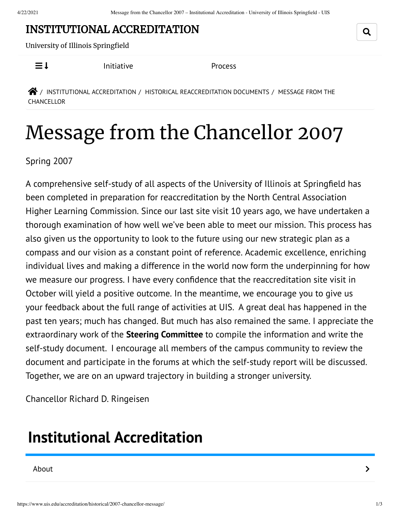## INSTITUTIONAL [ACCREDITATION](https://www.uis.edu/accreditation/)

University of Illinois Springfield

 $\equiv$  1 [Initiative](https://www.uis.edu/accreditation/quality/) [Process](https://www.uis.edu/accreditation/about/)

 $\bigotimes$  / INSTITUTIONAL [ACCREDITATION](https://www.uis.edu/accreditation/) / HISTORICAL [REACCREDITATION](https://www.uis.edu/accreditation/historical/) DOCUMENTS / MESSAGE FROM THE CHANCELLOR

## Message from the Chancellor 2007

Spring 2007

A comprehensive self-study of all aspects of the University of Illinois at Springfield has been completed in preparation for reaccreditation by the North Central Association Higher Learning Commission. Since our last site visit 10 years ago, we have undertaken a thorough examination of how well we've been able to meet our mission. This process has also given us the opportunity to look to the future using our new strategic plan as a compass and our vision as a constant point of reference. Academic excellence, enriching individual lives and making a difference in the world now form the underpinning for how we measure our progress. I have every confidence that the reaccreditation site visit in October will yield a positive outcome. In the meantime, we encourage you to give us your feedback about the full range of activities at UIS. A great deal has happened in the past ten years; much has changed. But much has also remained the same. I appreciate the extraordinary work of the **Steering [Committee](https://www.uis.edu/accreditation/historical/2007-overview/committee/)** to compile the information and write the self-study document. I encourage all members of the campus community to review the document and participate in the forums at which the self-study report will be discussed. Together, we are on an upward trajectory in building a stronger university.

Chancellor Richard D. Ringeisen

## <span id="page-0-0"></span>**Institutional [Accreditation](https://www.uis.edu/accreditation/)**

[About](https://www.uis.edu/accreditation/about/) the contract of the contract of the contract of the contract of the contract of the contract of the contract of the contract of the contract of the contract of the contract of the contract of the contract of the cont

Q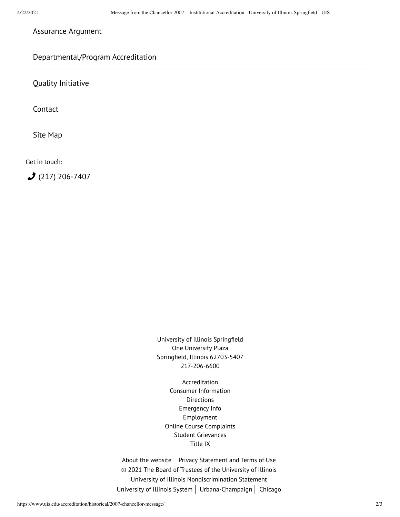[Assurance](https://www.uis.edu/accreditation/assurance/) Argument

## [Departmental/Program](https://www.uis.edu/accreditation/departmental-program-accreditation/) Accreditation

Quality [Initiative](https://www.uis.edu/accreditation/quality/)

[Contact](https://www.uis.edu/accreditation/contact/)

Site [Map](https://www.uis.edu/accreditation/sitemap/)

Get in touch:

 $(217)$  [206-7407](tel:(217)%20206-7407)

University of Illinois Springfield One University Plaza Springfield, Illinois 62703-5407 217-206-6600

[Accreditation](https://www.uis.edu/accreditation/) Consumer [Information](https://www.uis.edu/about/student-consumer-information/) **[Directions](https://www.uis.edu/about/visit/drivingdirections/)** [Emergency](https://www.uis.edu/emergencies/) Info [Employment](https://jobs.uis.edu/) Online Course [Complaints](https://forms.uofi.uis.edu/sec/6417829) Student [Grievances](https://www.uis.edu/academicaffairs/departmentofeducationcomplaintprocess/) [Title](https://www.uis.edu/titleix/) IX

About the [website](https://www.uis.edu/about/explore/website/)  $|$  Privacy [Statement](https://www.vpaa.uillinois.edu/resources/web_privacy) and Terms of Use © 2021 The Board of Trustees of the University of Illinois University of Illinois [Nondiscrimination](https://www.hr.uillinois.edu/cms/One.aspx?portalId=4292&pageId=5671) Statement [University](https://www.uillinois.edu/) of Illinois System | [Urbana-Champaign](https://illinois.edu/) | [Chicago](http://www.uic.edu/)